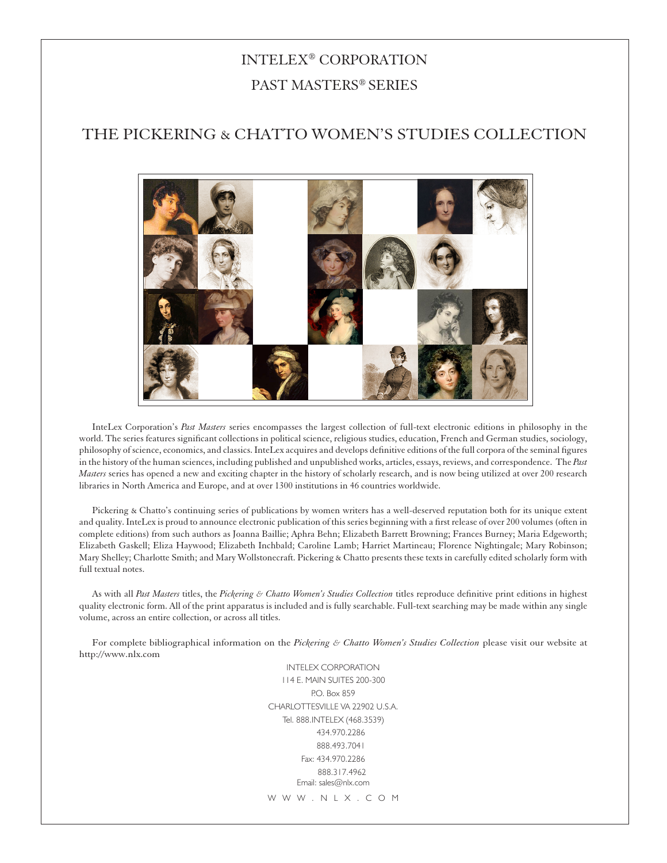# INTELEX® CORPORATION PAST MASTERS® SERIES

# the pickering & chatto women's studies collection



InteLex Corporation's *Past Masters* series encompasses the largest collection of full-text electronic editions in philosophy in the world. The series features significant collections in political science, religious studies, education, French and German studies, sociology, philosophy of science, economics, and classics. InteLex acquires and develops definitive editions of the full corpora of the seminal figures in the history of the human sciences, including published and unpublished works, articles, essays, reviews, and correspondence. The *Past Masters* series has opened a new and exciting chapter in the history of scholarly research, and is now being utilized at over 200 research libraries in North America and Europe, and at over 1300 institutions in 46 countries worldwide.

Pickering & Chatto's continuing series of publications by women writers has a well-deserved reputation both for its unique extent and quality. InteLex is proud to announce electronic publication of this series beginning with a first release of over 200 volumes (often in complete editions) from such authors as Joanna Baillie; Aphra Behn; Elizabeth Barrett Browning; Frances Burney; Maria Edgeworth; Elizabeth Gaskell; Eliza Haywood; Elizabeth Inchbald; Caroline Lamb; Harriet Martineau; Florence Nightingale; Mary Robinson; Mary Shelley; Charlotte Smith; and Mary Wollstonecraft. Pickering & Chatto presents these texts in carefully edited scholarly form with full textual notes.

As with all *Past Masters* titles, the *Pickering & Chatto Women's Studies Collection* titles reproduce definitive print editions in highest quality electronic form. All of the print apparatus is included and is fully searchable. Full-text searching may be made within any single volume, across an entire collection, or across all titles.

For complete bibliographical information on the *Pickering & Chatto Women's Studies Collection* please visit our website at http://www.nlx.com

> INTELEX CORPORATION 114 E. MAIN SUITES 200-300 P.O. Box 859 CHARLOTTESVILLE VA 22902 U.S.A. Tel. 888.INTELEX (468.3539) 434.970.2286 888.493.7041 Fax: 434.970.2286 888.317.4962 Email: sales@nlx.com W W W . N L X . C O M